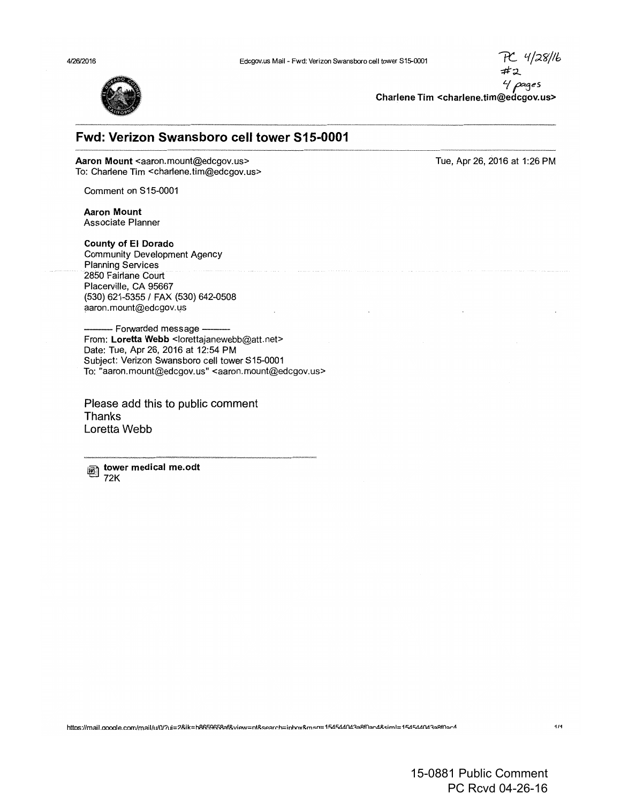

Charlene Tim <charlene.tim@edcgov.us>

Tue, Apr 26, 2016 at 1 :26 PM

## **Fwd: Verizon Swansboro cell tower 515-0001**  -------·---·-----------

Aaron Mount <aaron.mount@edcgov.us> To: Charlene Tim <charlene.tim@edcgov.us>

Comment on S 15-0001

Aaron Mount Associate Planner

County of El Dorado Community Development Agency Planning Services 2850 Fairlane Court Placerville, CA 95667 (530) 621-5355 I FAX (530) 642-0508 aaron.mount@edcgov.us

- Forwarded message -From: Loretta Webb <lorettajanewebb@att.net> Date: Tue, Apr 26, 2016 at 12:54 PM Subject: Verizon Swansboro cell tower S15-0001 To: "aaron.mount@edcgov.us" <aaron.mount@edcgov.us>

Please add this to public comment Thanks Loretta Webb

~~ tower medical me.odt 72K

https://mail.google.com/mail/u/0/?ui=2&ik=b8659658af&view=nt&search=inhox&msg=154544043a8f0ac4&siml=154544043a8f0a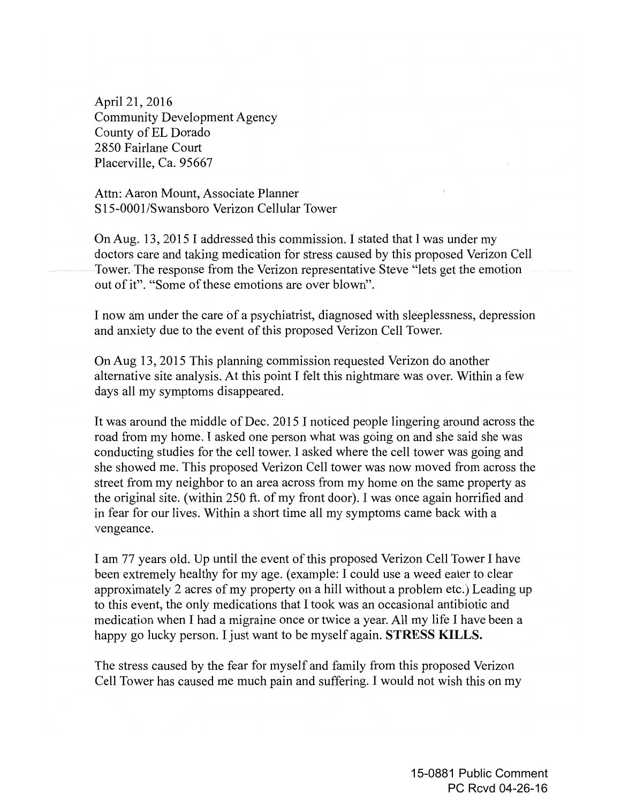April21, 2016 Community Development Agency County of EL Dorado 2850 Fairlane Court Placerville, Ca. 95667

Attn: Aaron Mount, Associate Planner S15-0001/Swansboro Verizon Cellular Tower

On Aug. 13, 2015 I addressed this commission. I stated that I was under my doctors care and taking medication for stress caused by this proposed Verizon Cell Tower. The response from the Verizon representative Steve "lets get the emotion out of it". "Some of these emotions are over blown".

I now am under the care of a psychiatrist, diagnosed with sleeplessness, depression and anxiety due to the event of this proposed Verizon Cell Tower.

On Aug 13, 2015 This planning commission requested Verizon do another alternative site analysis. At this point I felt this nightmare was over. Within a few days all my symptoms disappeared.

It was around the middle of Dec. 2015 I noticed people lingering around across the road from my home. I asked one person what was going on and she said she was conducting studies for the cell tower. I asked where the cell tower was going and she showed me. This proposed Verizon Cell tower was now moved from across the street from my neighbor to an area across from my home on the same property as the original site. (within 250 ft. of my front door). I was once again horrified and in fear for our lives. Within a short time all my symptoms came back with a vengeance.

I am 77 years old. Up until the event of this proposed Verizon Cell Tower I have been extremely healthy for my age. (example: I could use a weed eater to clear approximately 2 acres of my property on a hill without a problem etc.) Leading up to this event, the only medications that I took was an occasional antibiotic and medication when I had a migraine once or twice a year. All my life I have been a happy go lucky person. I just want to be myself again. **STRESS KILLS.** 

The stress caused by the fear for myself and family from this proposed Verizon Cell Tower has caused me much pain and suffering. I would not wish this on my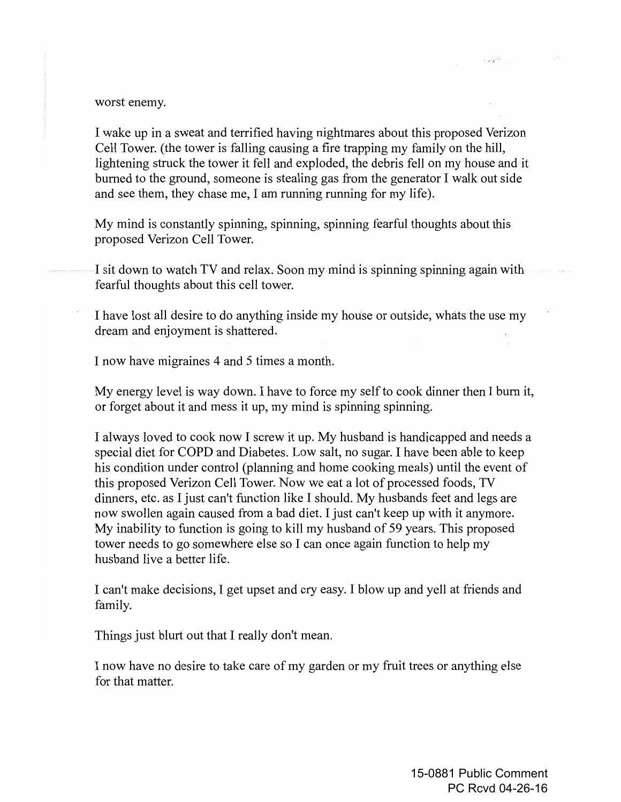## worst enemy.

I wake up in a sweat and terrified having nightmares about this proposed Verizon Cell Tower. (the tower is falling causing a fire trapping my family on the hill, lightening struck the tower it fell and exploded, the debris fell on my house and it burned to the ground, someone is stealing gas from the generator I walk out side and see them, they chase me, I am running running for my life).

My mind is constantly spinning, spinning, spinning fearful thoughts about this proposed Verizon Cell Tower.

I sit down to watch TV and relax. Soon my mind is spinning spinning again with fearful thoughts about this cell tower.

I have lost all desire to do anything inside my house or outside, whats the use my dream and enjoyment is shattered.

I now have migraines 4 and 5 times a month.

My energy level is way down. I have to force my self to cook dinner then I burn it, or forget about it and mess it up, my mind is spinning spinning.

I always loved to cook now I screw it up. My husband is handicapped and needs a special diet for COPD and Diabetes. Low salt, no sugar. I have been able to keep his condition under control (planning and home cooking meals) until the event of this proposed Verizon Cell Tower. Now we eat a lot of processed foods, TV dinners, etc. as I just can't function like I should. My husbands feet and legs are now swollen again caused from a bad diet. I just can't keep up with it anymore. My inability to function is going to kill my husband of 59 years. This proposed tower needs to go somewhere else so I can once again function to help my husband live a better life.

I can't make decisions, I get upset and cry easy. I blow up and yell at friends and family.

Things just blurt out that I really don't mean.

I now have no desire to take care of my garden or my fruit trees or anything else for that matter.